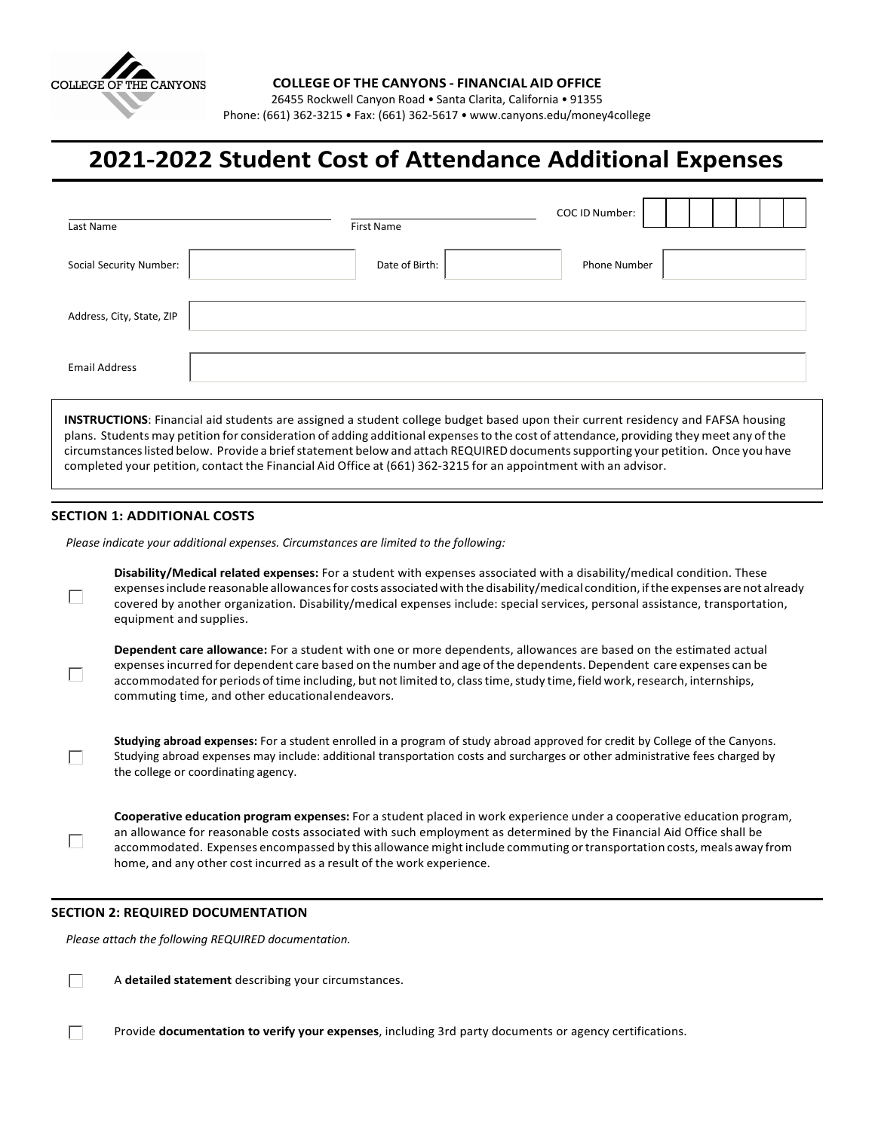

26455 Rockwell Canyon Road • Santa Clarita, California • 91355 Phone: (661) 362-3215 • Fax: (661) 362-5617 [• www.canyons.edu/money4college](http://www.canyons.edu/money4college)

## **2021-2022 Student Cost of Attendance Additional Expenses**

| Date of Birth:<br>Social Security Number:<br><b>Phone Number</b><br>Address, City, State, ZIP<br><b>Email Address</b> | Last Name | <b>First Name</b> | COC ID Number: |
|-----------------------------------------------------------------------------------------------------------------------|-----------|-------------------|----------------|
|                                                                                                                       |           |                   |                |
|                                                                                                                       |           |                   |                |
|                                                                                                                       |           |                   |                |

**INSTRUCTIONS**: Financial aid students are assigned a student college budget based upon their current residency and FAFSA housing plans. Students may petition for consideration of adding additional expensesto the cost of attendance, providing they meet any of the circumstanceslisted below. Provide a briefstatement below and attach REQUIREDdocumentssupporting your petition. Once you have completed your petition, contact the Financial Aid Office at (661) 362-3215 for an appointment with an advisor.

## **SECTION 1: ADDITIONAL COSTS**

П

 $\Box$ 

 $\Box$ 

П

 $\Box$ 

*Please indicate your additional expenses. Circumstances are limited to the following:*

**Disability/Medical related expenses:** For a student with expenses associated with a disability/medical condition. These expensesinclude reasonable allowancesfor costs associatedwith the disability/medical condition, ifthe expenses are not already covered by another organization. Disability/medical expenses include: special services, personal assistance, transportation, equipment and supplies.

**Dependent care allowance:** For a student with one or more dependents, allowances are based on the estimated actual expensesincurred for dependent care based on the number and age of the dependents. Dependent care expenses can be accommodated for periods of time including, but not limited to, class time, study time, field work, research, internships, commuting time, and other educationalendeavors.

**Studying abroad expenses:** For a student enrolled in a program of study abroad approved for credit by College of the Canyons. Studying abroad expenses may include: additional transportation costs and surcharges or other administrative fees charged by the college or coordinating agency.

**Cooperative education program expenses:** For a student placed in work experience under a cooperative education program, an allowance for reasonable costs associated with such employment as determined by the Financial Aid Office shall be accommodated. Expenses encompassed by this allowance might include commuting or transportation costs, meals away from home, and any other cost incurred as a result of the work experience.

## **SECTION 2: REQUIRED DOCUMENTATION**

*Please attach the following REQUIRED documentation.*

 $\Box$ A **detailed statement** describing your circumstances.

Provide **documentation to verify your expenses**, including 3rd party documents or agency certifications.